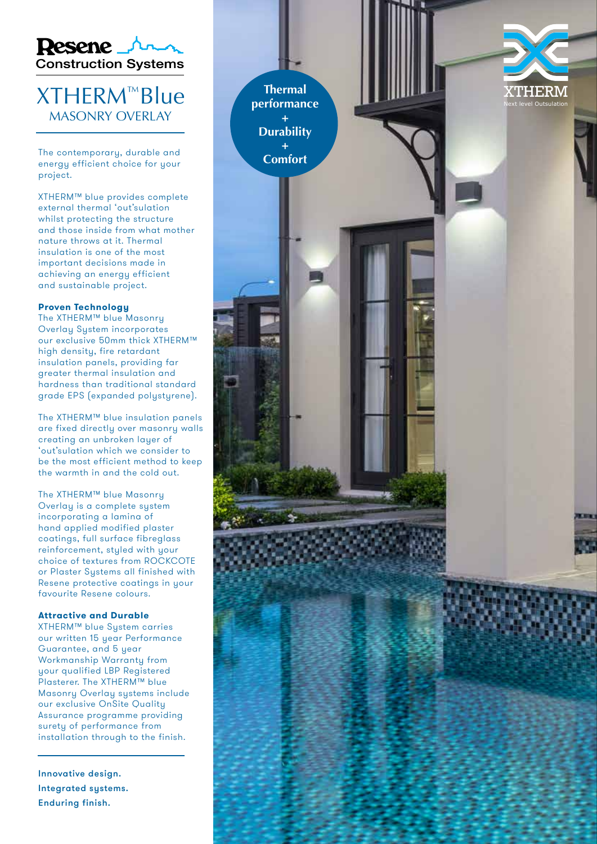

## XTHERM ™Blu e MASONRY OVERLAY

The contemporary, durable and energy efficient choice for your project.

XTHERM™ blue provides complete external thermal 'out'sulation whilst protecting the structure and those inside from what mother nature throws at it. Thermal insulation is one of the most important decisions made in achieving an energy efficient and sustainable project.

### **Proven Technology**

The XTHERM™ blue Masonry Overlay System incorporates our exclusive 50mm thick XTHERM™ high density, fire retardant insulation panels, providing far greater thermal insulation and hardness than traditional standard grade EPS (expanded polystyrene).

The XTHERM™ blue insulation panels are fixed directly over masonry walls creating an unbroken layer of 'out'sulation which we consider to be the most efficient method to keep the warmth in and the cold out.

The XTHERM™ blue Masonry Overlay is a complete system incorporating a lamina of hand applied modified plaster coatings, full surface fibreglass reinforcement, styled with your choice of textures from ROCKCOTE or Plaster Systems all finished with Resene protective coatings in your favourite Resene colours.

#### **Attractive and Durable**

XTHERM™ blue System carries our written 15 year Performance Guarantee, and 5 year Workmanship Warranty from your qualified LBP Registered Plasterer. The XTHERM™ blue Masonry Overlay systems include our exclusive OnSite Quality Assurance programme providing surety of performance from installation through to the finish.

Innovative design. Integrated systems. Enduring finish.